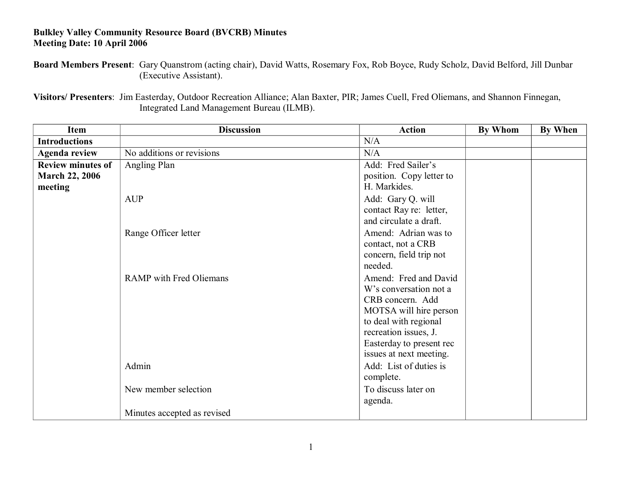## **Bulkley Valley Community Resource Board (BVCRB) Minutes Meeting Date: 10 April 2006**

**Board Members Present**: Gary Quanstrom (acting chair), David Watts, Rosemary Fox, Rob Boyce, Rudy Scholz, David Belford, Jill Dunbar (Executive Assistant).

**Visitors/ Presenters**: Jim Easterday, Outdoor Recreation Alliance; Alan Baxter, PIR; James Cuell, Fred Oliemans, and Shannon Finnegan, Integrated Land Management Bureau (ILMB).

| Item                                                         | <b>Discussion</b>              | <b>Action</b>                                                                                                                                                                                          | By Whom | <b>By When</b> |
|--------------------------------------------------------------|--------------------------------|--------------------------------------------------------------------------------------------------------------------------------------------------------------------------------------------------------|---------|----------------|
| <b>Introductions</b>                                         |                                | N/A                                                                                                                                                                                                    |         |                |
| <b>Agenda review</b>                                         | No additions or revisions      | N/A                                                                                                                                                                                                    |         |                |
| <b>Review minutes of</b><br><b>March 22, 2006</b><br>meeting | Angling Plan                   | Add: Fred Sailer's<br>position. Copy letter to<br>H. Markides.                                                                                                                                         |         |                |
|                                                              | <b>AUP</b>                     | Add: Gary Q. will<br>contact Ray re: letter,<br>and circulate a draft.                                                                                                                                 |         |                |
|                                                              | Range Officer letter           | Amend: Adrian was to<br>contact, not a CRB<br>concern, field trip not<br>needed.                                                                                                                       |         |                |
|                                                              | <b>RAMP</b> with Fred Oliemans | Amend: Fred and David<br>W's conversation not a<br>CRB concern. Add<br>MOTSA will hire person<br>to deal with regional<br>recreation issues, J.<br>Easterday to present rec<br>issues at next meeting. |         |                |
|                                                              | Admin                          | Add: List of duties is<br>complete.                                                                                                                                                                    |         |                |
|                                                              | New member selection           | To discuss later on<br>agenda.                                                                                                                                                                         |         |                |
|                                                              | Minutes accepted as revised    |                                                                                                                                                                                                        |         |                |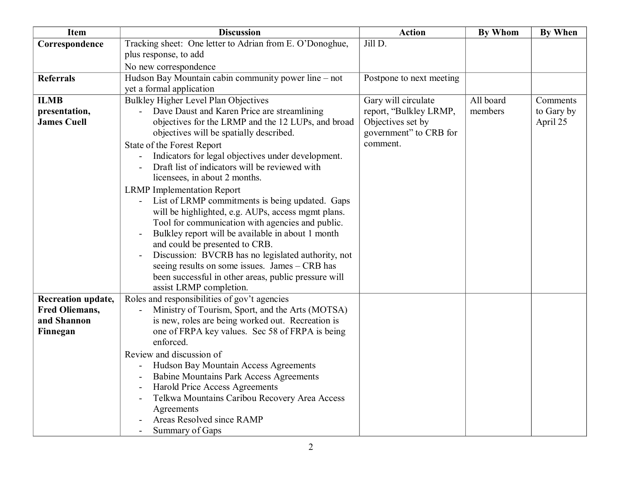| <b>Item</b>               | <b>Discussion</b>                                                                                      | <b>Action</b>            | <b>By Whom</b> | <b>By When</b> |
|---------------------------|--------------------------------------------------------------------------------------------------------|--------------------------|----------------|----------------|
| Correspondence            | Tracking sheet: One letter to Adrian from E. O'Donoghue,                                               | Jill D.                  |                |                |
|                           | plus response, to add                                                                                  |                          |                |                |
|                           | No new correspondence                                                                                  |                          |                |                |
| <b>Referrals</b>          | Hudson Bay Mountain cabin community power line – not                                                   | Postpone to next meeting |                |                |
|                           | yet a formal application                                                                               |                          |                |                |
| <b>ILMB</b>               | Bulkley Higher Level Plan Objectives                                                                   | Gary will circulate      | All board      | Comments       |
| presentation,             | - Dave Daust and Karen Price are streamlining                                                          | report, "Bulkley LRMP,   | members        | to Gary by     |
| <b>James Cuell</b>        | objectives for the LRMP and the 12 LUPs, and broad                                                     | Objectives set by        |                | April 25       |
|                           | objectives will be spatially described.                                                                | government" to CRB for   |                |                |
|                           | State of the Forest Report                                                                             | comment.                 |                |                |
|                           | Indicators for legal objectives under development.                                                     |                          |                |                |
|                           | Draft list of indicators will be reviewed with                                                         |                          |                |                |
|                           | licensees, in about 2 months.                                                                          |                          |                |                |
|                           | <b>LRMP</b> Implementation Report                                                                      |                          |                |                |
|                           | List of LRMP commitments is being updated. Gaps                                                        |                          |                |                |
|                           | will be highlighted, e.g. AUPs, access mgmt plans.<br>Tool for communication with agencies and public. |                          |                |                |
|                           | Bulkley report will be available in about 1 month                                                      |                          |                |                |
|                           | and could be presented to CRB.                                                                         |                          |                |                |
|                           | Discussion: BVCRB has no legislated authority, not<br>$\overline{a}$                                   |                          |                |                |
|                           | seeing results on some issues. James - CRB has                                                         |                          |                |                |
|                           | been successful in other areas, public pressure will                                                   |                          |                |                |
|                           | assist LRMP completion.                                                                                |                          |                |                |
| <b>Recreation update,</b> | Roles and responsibilities of gov't agencies                                                           |                          |                |                |
| <b>Fred Oliemans,</b>     | Ministry of Tourism, Sport, and the Arts (MOTSA)                                                       |                          |                |                |
| and Shannon               | is new, roles are being worked out. Recreation is                                                      |                          |                |                |
| Finnegan                  | one of FRPA key values. Sec 58 of FRPA is being                                                        |                          |                |                |
|                           | enforced.                                                                                              |                          |                |                |
|                           | Review and discussion of                                                                               |                          |                |                |
|                           | Hudson Bay Mountain Access Agreements                                                                  |                          |                |                |
|                           | <b>Babine Mountains Park Access Agreements</b>                                                         |                          |                |                |
|                           | Harold Price Access Agreements                                                                         |                          |                |                |
|                           | Telkwa Mountains Caribou Recovery Area Access                                                          |                          |                |                |
|                           | Agreements                                                                                             |                          |                |                |
|                           | Areas Resolved since RAMP                                                                              |                          |                |                |
|                           | Summary of Gaps                                                                                        |                          |                |                |